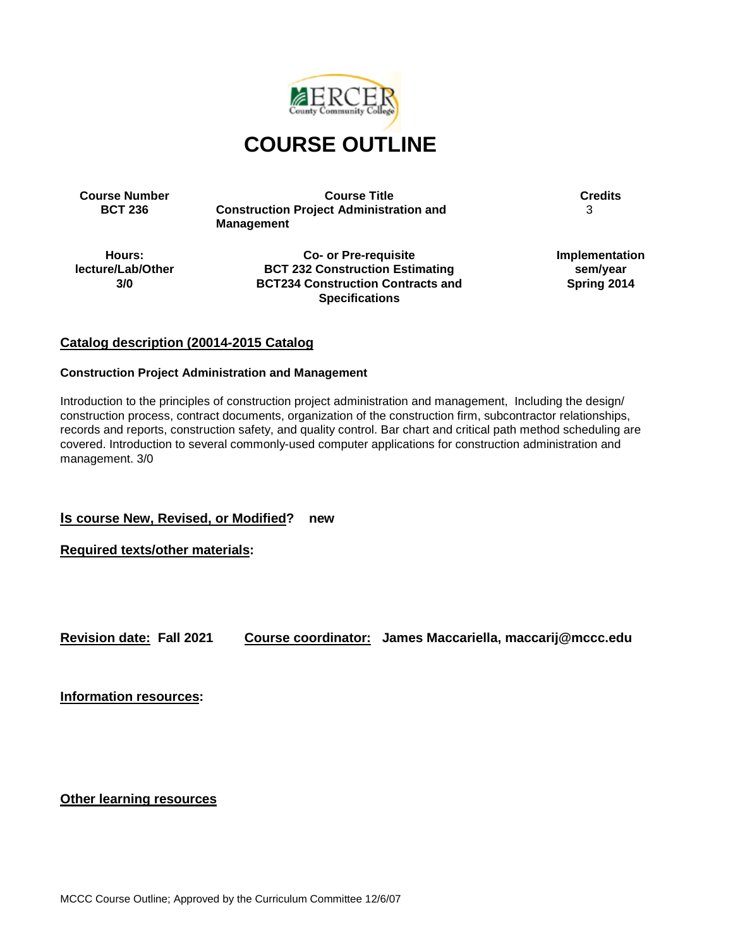

**Course Number Course Title Course Title Course Title Credits**<br>**BCT 236 Construction Project Administration and** 3 **Construction Project Administration and Management**

3

**Hours: lecture/Lab/Other 3/0**

**Co- or Pre-requisite BCT 232 Construction Estimating BCT234 Construction Contracts and Specifications**

**Implementation sem/year Spring 2014**

## **Catalog description (20014-2015 Catalog**

#### **Construction Project Administration and Management**

Introduction to the principles of construction project administration and management, Including the design/ construction process, contract documents, organization of the construction firm, subcontractor relationships, records and reports, construction safety, and quality control. Bar chart and critical path method scheduling are covered. Introduction to several commonly-used computer applications for construction administration and management. 3/0

**Is course New, Revised, or Modified? new**

**Required texts/other materials:**

**Revision date: Fall 2021 Course coordinator: James Maccariella, maccarij@mccc.edu**

**Information resources:**

**Other learning resources**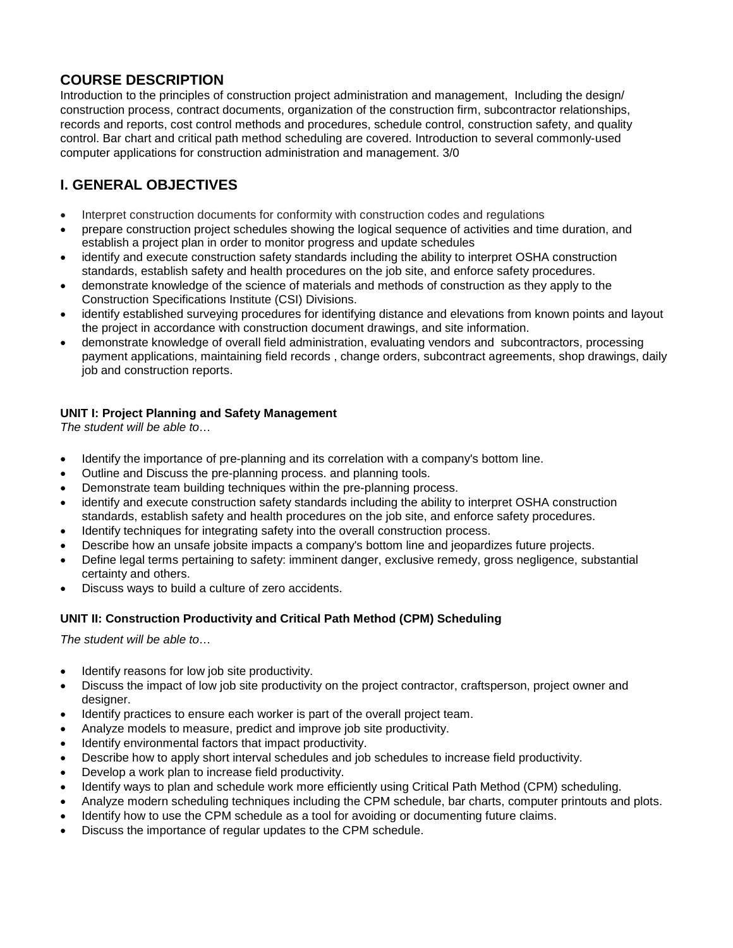# **COURSE DESCRIPTION**

Introduction to the principles of construction project administration and management, Including the design/ construction process, contract documents, organization of the construction firm, subcontractor relationships, records and reports, cost control methods and procedures, schedule control, construction safety, and quality control. Bar chart and critical path method scheduling are covered. Introduction to several commonly-used computer applications for construction administration and management. 3/0

# **I. GENERAL OBJECTIVES**

- Interpret construction documents for conformity with construction codes and regulations
- prepare construction project schedules showing the logical sequence of activities and time duration, and establish a project plan in order to monitor progress and update schedules
- identify and execute construction safety standards including the ability to interpret OSHA construction standards, establish safety and health procedures on the job site, and enforce safety procedures.
- demonstrate knowledge of the science of materials and methods of construction as they apply to the Construction Specifications Institute (CSI) Divisions.
- identify established surveying procedures for identifying distance and elevations from known points and layout the project in accordance with construction document drawings, and site information.
- demonstrate knowledge of overall field administration, evaluating vendors and subcontractors, processing payment applications, maintaining field records , change orders, subcontract agreements, shop drawings, daily job and construction reports.

## **UNIT I: Project Planning and Safety Management**

*The student will be able to…*

- Identify the importance of pre-planning and its correlation with a company's bottom line.
- Outline and Discuss the pre-planning process. and planning tools.
- Demonstrate team building techniques within the pre-planning process.
- identify and execute construction safety standards including the ability to interpret OSHA construction standards, establish safety and health procedures on the job site, and enforce safety procedures.
- Identify techniques for integrating safety into the overall construction process.
- Describe how an unsafe jobsite impacts a company's bottom line and jeopardizes future projects.
- Define legal terms pertaining to safety: imminent danger, exclusive remedy, gross negligence, substantial certainty and others.
- Discuss ways to build a culture of zero accidents.

## **UNIT II: Construction Productivity and Critical Path Method (CPM) Scheduling**

*The student will be able to…*

- Identify reasons for low job site productivity.
- Discuss the impact of low job site productivity on the project contractor, craftsperson, project owner and designer.
- Identify practices to ensure each worker is part of the overall project team.
- Analyze models to measure, predict and improve job site productivity.
- Identify environmental factors that impact productivity.
- Describe how to apply short interval schedules and job schedules to increase field productivity.
- Develop a work plan to increase field productivity.
- Identify ways to plan and schedule work more efficiently using Critical Path Method (CPM) scheduling.
- Analyze modern scheduling techniques including the CPM schedule, bar charts, computer printouts and plots.
- Identify how to use the CPM schedule as a tool for avoiding or documenting future claims.
- Discuss the importance of regular updates to the CPM schedule.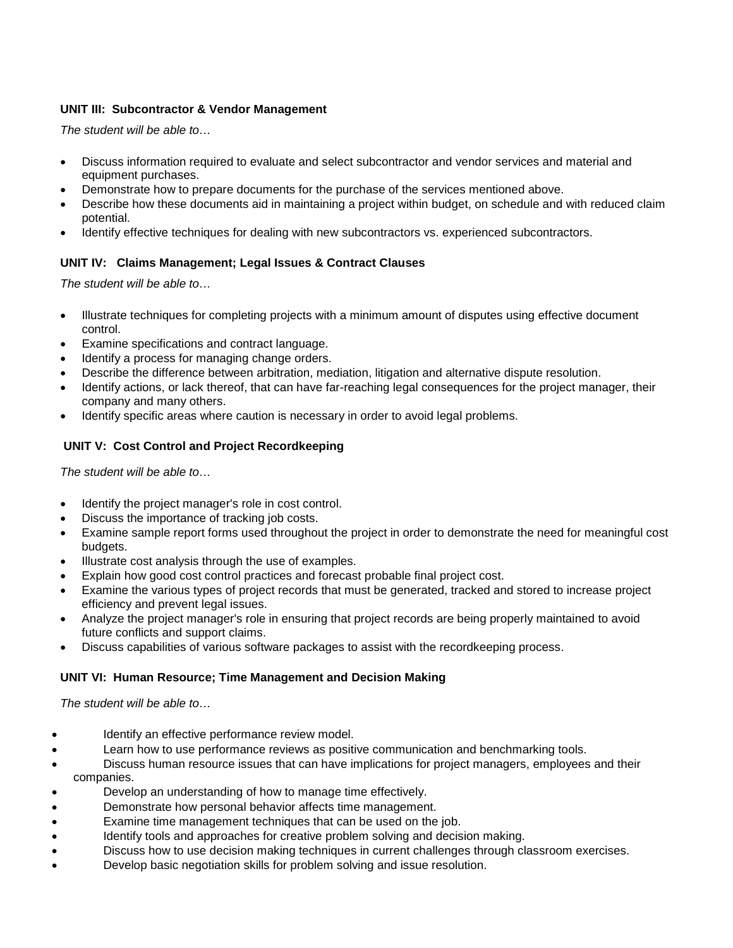## **UNIT III: Subcontractor & Vendor Management**

*The student will be able to…*

- Discuss information required to evaluate and select subcontractor and vendor services and material and equipment purchases.
- Demonstrate how to prepare documents for the purchase of the services mentioned above.
- Describe how these documents aid in maintaining a project within budget, on schedule and with reduced claim potential.
- Identify effective techniques for dealing with new subcontractors vs. experienced subcontractors.

### **UNIT IV: Claims Management; Legal Issues & Contract Clauses**

*The student will be able to…*

- Illustrate techniques for completing projects with a minimum amount of disputes using effective document control.
- Examine specifications and contract language.
- Identify a process for managing change orders.
- Describe the difference between arbitration, mediation, litigation and alternative dispute resolution.
- Identify actions, or lack thereof, that can have far-reaching legal consequences for the project manager, their company and many others.
- Identify specific areas where caution is necessary in order to avoid legal problems.

### **UNIT V: Cost Control and Project Recordkeeping**

*The student will be able to…*

- Identify the project manager's role in cost control.
- Discuss the importance of tracking job costs.
- Examine sample report forms used throughout the project in order to demonstrate the need for meaningful cost budgets.
- Illustrate cost analysis through the use of examples.
- Explain how good cost control practices and forecast probable final project cost.
- Examine the various types of project records that must be generated, tracked and stored to increase project efficiency and prevent legal issues.
- Analyze the project manager's role in ensuring that project records are being properly maintained to avoid future conflicts and support claims.
- Discuss capabilities of various software packages to assist with the recordkeeping process.

### **UNIT VI: Human Resource; Time Management and Decision Making**

*The student will be able to…*

- Identify an effective performance review model.
- Learn how to use performance reviews as positive communication and benchmarking tools.
- Discuss human resource issues that can have implications for project managers, employees and their companies.
- Develop an understanding of how to manage time effectively.
- Demonstrate how personal behavior affects time management.
- Examine time management techniques that can be used on the job.
- Identify tools and approaches for creative problem solving and decision making.
- Discuss how to use decision making techniques in current challenges through classroom exercises.
- Develop basic negotiation skills for problem solving and issue resolution.